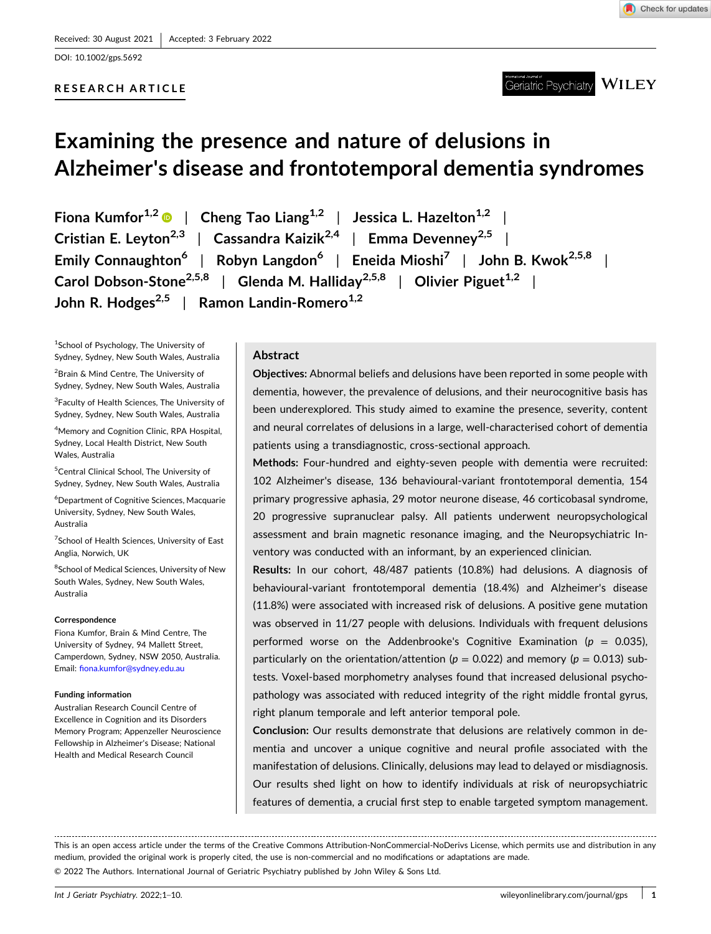DOI: [10.1002/gps.5692](https://doi.org/10.1002/gps.5692)

### **RESEARCH ARTICLE**

**WILEY** Geriatric Psychiatry

# **Examining the presence and nature of delusions in Alzheimer's disease and frontotemporal dementia syndromes**

**Fiona Kumfor1,2** | **Cheng Tao Liang1,2** | **Jessica L. Hazelton1,2** | **Cristian E. Leyton**<sup>2,3</sup> | **Cassandra Kaizik**<sup>2,4</sup> | **Emma Devenney**<sup>2,5</sup> | **Emily Connaughton6** | **Robyn Langdon6** | **Eneida Mioshi7** | **John B. Kwok2,5,8** | **Carol Dobson-Stone<sup>2,5,8</sup> | Glenda M. Halliday**<sup>2,5,8</sup> | Olivier Piguet<sup>1,2</sup> | **John R. Hodges**<sup>2,5</sup> | **Ramon Landin-Romero**<sup>1,2</sup>

<sup>1</sup>School of Psychology, The University of Sydney, Sydney, New South Wales, Australia

<sup>2</sup>Brain & Mind Centre, The University of Sydney, Sydney, New South Wales, Australia

<sup>3</sup> Faculty of Health Sciences, The University of Sydney, Sydney, New South Wales, Australia

4 Memory and Cognition Clinic, RPA Hospital, Sydney, Local Health District, New South Wales, Australia

<sup>5</sup>Central Clinical School, The University of Sydney, Sydney, New South Wales, Australia

6 Department of Cognitive Sciences, Macquarie University, Sydney, New South Wales, Australia

<sup>7</sup>School of Health Sciences, University of East Anglia, Norwich, UK

<sup>8</sup>School of Medical Sciences, University of New South Wales, Sydney, New South Wales, Australia

### **Correspondence**

Fiona Kumfor, Brain & Mind Centre, The University of Sydney, 94 Mallett Street, Camperdown, Sydney, NSW 2050, Australia. Email: [fiona.kumfor@sydney.edu.au](mailto:fiona.kumfor@sydney.edu.au)

### **Funding information**

Australian Research Council Centre of Excellence in Cognition and its Disorders Memory Program; Appenzeller Neuroscience Fellowship in Alzheimer's Disease; National Health and Medical Research Council

### **Abstract**

**Objectives:** Abnormal beliefs and delusions have been reported in some people with dementia, however, the prevalence of delusions, and their neurocognitive basis has been underexplored. This study aimed to examine the presence, severity, content and neural correlates of delusions in a large, well‐characterised cohort of dementia patients using a transdiagnostic, cross‐sectional approach.

**Methods:** Four‐hundred and eighty‐seven people with dementia were recruited: 102 Alzheimer's disease, 136 behavioural‐variant frontotemporal dementia, 154 primary progressive aphasia, 29 motor neurone disease, 46 corticobasal syndrome, 20 progressive supranuclear palsy. All patients underwent neuropsychological assessment and brain magnetic resonance imaging, and the Neuropsychiatric Inventory was conducted with an informant, by an experienced clinician.

**Results:** In our cohort, 48/487 patients (10.8%) had delusions. A diagnosis of behavioural‐variant frontotemporal dementia (18.4%) and Alzheimer's disease (11.8%) were associated with increased risk of delusions. A positive gene mutation was observed in 11/27 people with delusions. Individuals with frequent delusions performed worse on the Addenbrooke's Cognitive Examination (*p* = 0.035), particularly on the orientation/attention ( $p = 0.022$ ) and memory ( $p = 0.013$ ) subtests. Voxel‐based morphometry analyses found that increased delusional psychopathology was associated with reduced integrity of the right middle frontal gyrus, right planum temporale and left anterior temporal pole.

**Conclusion:** Our results demonstrate that delusions are relatively common in dementia and uncover a unique cognitive and neural profile associated with the manifestation of delusions. Clinically, delusions may lead to delayed or misdiagnosis. Our results shed light on how to identify individuals at risk of neuropsychiatric features of dementia, a crucial first step to enable targeted symptom management.

This is an open access article under the terms of the Creative Commons Attribution‐NonCommercial‐NoDerivs License, which permits use and distribution in any medium, provided the original work is properly cited, the use is non-commercial and no modifications or adaptations are made.

© 2022 The Authors. International Journal of Geriatric Psychiatry published by John Wiley & Sons Ltd.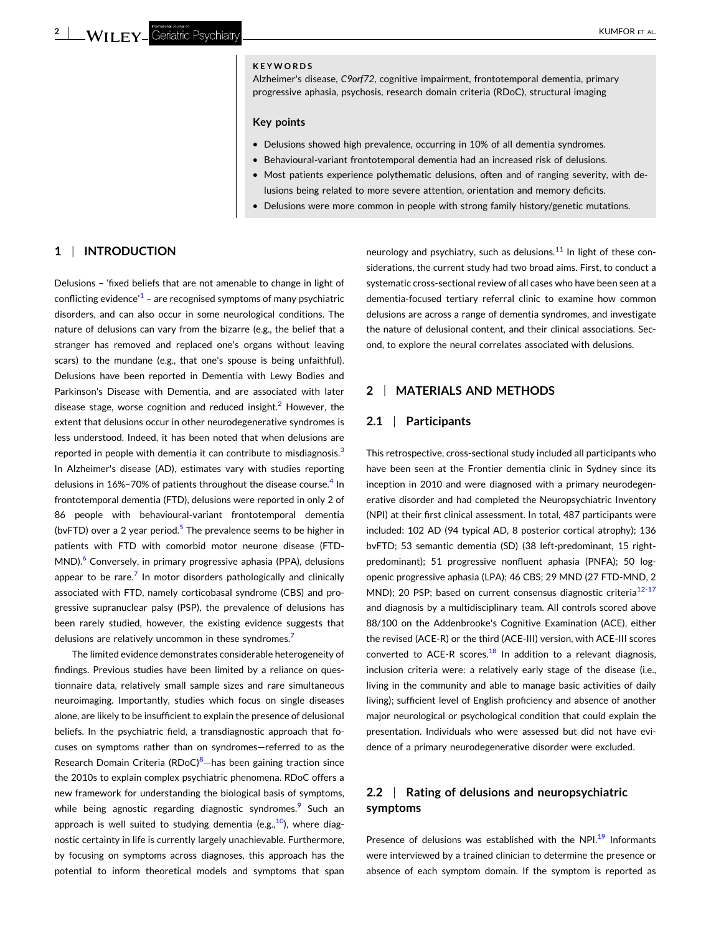### **KEYWORDS**

Alzheimer's disease, *C9orf72*, cognitive impairment, frontotemporal dementia, primary progressive aphasia, psychosis, research domain criteria (RDoC), structural imaging

### **Key points**

- � Delusions showed high prevalence, occurring in 10% of all dementia syndromes.
- Behavioural-variant frontotemporal dementia had an increased risk of delusions.
- � Most patients experience polythematic delusions, often and of ranging severity, with delusions being related to more severe attention, orientation and memory deficits.
- � Delusions were more common in people with strong family history/genetic mutations.

### **1** <sup>|</sup> **INTRODUCTION**

Delusions – 'fixed beliefs that are not amenable to change in light of conflicting evidence<sup> $1$ </sup> – are recognised symptoms of many psychiatric disorders, and can also occur in some neurological conditions. The nature of delusions can vary from the bizarre (e.g., the belief that a stranger has removed and replaced one's organs without leaving scars) to the mundane (e.g., that one's spouse is being unfaithful). Delusions have been reported in Dementia with Lewy Bodies and Parkinson's Disease with Dementia, and are associated with later disease stage, worse cognition and reduced insight.<sup>[2](#page-8-0)</sup> However, the extent that delusions occur in other neurodegenerative syndromes is less understood. Indeed, it has been noted that when delusions are reported in people with dementia it can contribute to misdiagnosis.<sup>[3](#page-8-0)</sup> In Alzheimer's disease (AD), estimates vary with studies reporting delusions in  $16\% - 70\%$  of patients throughout the disease course.<sup>[4](#page-8-0)</sup> In frontotemporal dementia (FTD), delusions were reported in only 2 of 86 people with behavioural‐variant frontotemporal dementia (bvFTD) over a 2 year period. $5$  The prevalence seems to be higher in patients with FTD with comorbid motor neurone disease (FTD‐ MND).<sup>6</sup> Conversely, in primary progressive aphasia (PPA), delusions appear to be rare.<sup>7</sup> In motor disorders pathologically and clinically associated with FTD, namely corticobasal syndrome (CBS) and progressive supranuclear palsy (PSP), the prevalence of delusions has been rarely studied, however, the existing evidence suggests that delusions are relatively uncommon in these syndromes.<sup>7</sup>

The limited evidence demonstrates considerable heterogeneity of findings. Previous studies have been limited by a reliance on questionnaire data, relatively small sample sizes and rare simultaneous neuroimaging. Importantly, studies which focus on single diseases alone, are likely to be insufficient to explain the presence of delusional beliefs. In the psychiatric field, a transdiagnostic approach that focuses on symptoms rather than on syndromes—referred to as the Research Domain Criteria (RDoC)<sup>8</sup>–has been gaining traction since the 2010s to explain complex psychiatric phenomena. RDoC offers a new framework for understanding the biological basis of symptoms, while being agnostic regarding diagnostic syndromes.<sup>[9](#page-8-0)</sup> Such an approach is well suited to studying dementia (e.g., $^{10}$ ), where diagnostic certainty in life is currently largely unachievable. Furthermore, by focusing on symptoms across diagnoses, this approach has the potential to inform theoretical models and symptoms that span

neurology and psychiatry, such as delusions. $11$  In light of these considerations, the current study had two broad aims. First, to conduct a systematic cross‐sectional review of all cases who have been seen at a dementia‐focused tertiary referral clinic to examine how common delusions are across a range of dementia syndromes, and investigate the nature of delusional content, and their clinical associations. Second, to explore the neural correlates associated with delusions.

### **2** <sup>|</sup> **MATERIALS AND METHODS**

### **2.1** <sup>|</sup> **Participants**

This retrospective, cross‐sectional study included all participants who have been seen at the Frontier dementia clinic in Sydney since its inception in 2010 and were diagnosed with a primary neurodegenerative disorder and had completed the Neuropsychiatric Inventory (NPI) at their first clinical assessment. In total, 487 participants were included: 102 AD (94 typical AD, 8 posterior cortical atrophy); 136 bvFTD; 53 semantic dementia (SD) (38 left‐predominant, 15 right‐ predominant); 51 progressive nonfluent aphasia (PNFA); 50 logopenic progressive aphasia (LPA); 46 CBS; 29 MND (27 FTD‐MND, 2 MND); 20 PSP; based on current consensus diagnostic criteria<sup>[12](#page-8-0)-17</sup> and diagnosis by a multidisciplinary team. All controls scored above 88/100 on the Addenbrooke's Cognitive Examination (ACE), either the revised (ACE‐R) or the third (ACE‐III) version, with ACE‐III scores converted to ACE-R scores. $18$  In addition to a relevant diagnosis, inclusion criteria were: a relatively early stage of the disease (i.e., living in the community and able to manage basic activities of daily living); sufficient level of English proficiency and absence of another major neurological or psychological condition that could explain the presentation. Individuals who were assessed but did not have evidence of a primary neurodegenerative disorder were excluded.

### **2.2** <sup>|</sup> **Rating of delusions and neuropsychiatric symptoms**

Presence of delusions was established with the NPI.<sup>19</sup> Informants were interviewed by a trained clinician to determine the presence or absence of each symptom domain. If the symptom is reported as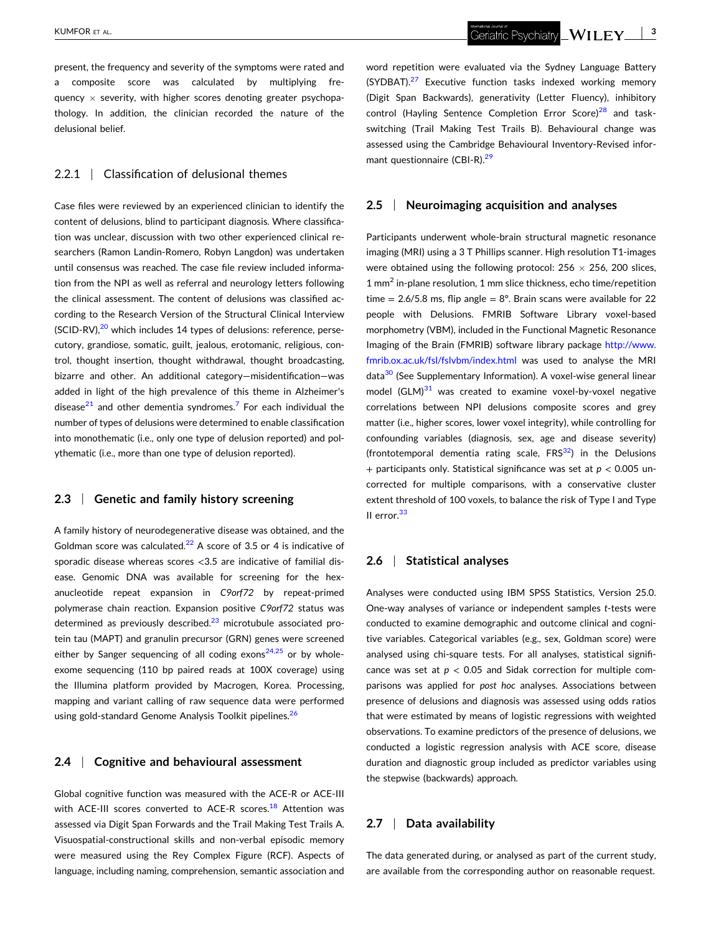present, the frequency and severity of the symptoms were rated and a composite score was calculated by multiplying frequency  $\times$  severity, with higher scores denoting greater psychopathology. In addition, the clinician recorded the nature of the delusional belief.

### 2.2.1 | Classification of delusional themes

Case files were reviewed by an experienced clinician to identify the content of delusions, blind to participant diagnosis. Where classification was unclear, discussion with two other experienced clinical researchers (Ramon Landin‐Romero, Robyn Langdon) was undertaken until consensus was reached. The case file review included information from the NPI as well as referral and neurology letters following the clinical assessment. The content of delusions was classified according to the Research Version of the Structural Clinical Interview (SCID-RV),<sup>[20](#page-8-0)</sup> which includes 14 types of delusions: reference, persecutory, grandiose, somatic, guilt, jealous, erotomanic, religious, control, thought insertion, thought withdrawal, thought broadcasting, bizarre and other. An additional category—misidentification—was added in light of the high prevalence of this theme in Alzheimer's disease $^{21}$  and other dementia syndromes.<sup>[7](#page-8-0)</sup> For each individual the number of types of delusions were determined to enable classification into monothematic (i.e., only one type of delusion reported) and polythematic (i.e., more than one type of delusion reported).

### **2.3** <sup>|</sup> **Genetic and family history screening**

A family history of neurodegenerative disease was obtained, and the Goldman score was calculated.<sup>[22](#page-8-0)</sup> A score of 3.5 or 4 is indicative of sporadic disease whereas scores <3.5 are indicative of familial disease. Genomic DNA was available for screening for the hexanucleotide repeat expansion in *C9orf72* by repeat‐primed polymerase chain reaction. Expansion positive *C9orf72* status was determined as previously described. $^{23}$  $^{23}$  $^{23}$  microtubule associated protein tau (MAPT) and granulin precursor (GRN) genes were screened either by Sanger sequencing of all coding exons<sup>[24,25](#page-9-0)</sup> or by wholeexome sequencing (110 bp paired reads at 100X coverage) using the Illumina platform provided by Macrogen, Korea. Processing, mapping and variant calling of raw sequence data were performed using gold-standard Genome Analysis Toolkit pipelines.<sup>26</sup>

### **2.4** <sup>|</sup> **Cognitive and behavioural assessment**

Global cognitive function was measured with the ACE‐R or ACE‐III with ACE-III scores converted to ACE-R scores.<sup>[18](#page-8-0)</sup> Attention was assessed via Digit Span Forwards and the Trail Making Test Trails A. Visuospatial‐constructional skills and non‐verbal episodic memory were measured using the Rey Complex Figure (RCF). Aspects of language, including naming, comprehension, semantic association and

word repetition were evaluated via the Sydney Language Battery (SYDBAT). $27$  Executive function tasks indexed working memory (Digit Span Backwards), generativity (Letter Fluency), inhibitory control (Hayling Sentence Completion Error Score)<sup>[28](#page-9-0)</sup> and taskswitching (Trail Making Test Trails B). Behavioural change was assessed using the Cambridge Behavioural Inventory‐Revised informant questionnaire (CBI-R).<sup>29</sup>

### **2.5** <sup>|</sup> **Neuroimaging acquisition and analyses**

Participants underwent whole‐brain structural magnetic resonance imaging (MRI) using a 3 T Phillips scanner. High resolution T1‐images were obtained using the following protocol:  $256 \times 256$ , 200 slices, 1 mm<sup>2</sup> in-plane resolution, 1 mm slice thickness, echo time/repetition time =  $2.6/5.8$  ms, flip angle =  $8^\circ$ . Brain scans were available for 22 people with Delusions. FMRIB Software Library voxel‐based morphometry (VBM), included in the Functional Magnetic Resonance Imaging of the Brain (FMRIB) software library package [http://www.](http://www.fmrib.ox.ac.uk/fsl/fslvbm/index.html) [fmrib.ox.ac.uk/fsl/fslvbm/index.html](http://www.fmrib.ox.ac.uk/fsl/fslvbm/index.html) was used to analyse the MRI data<sup>30</sup> (See Supplementary Information). A voxel-wise general linear model  $(GLM)^{31}$  was created to examine voxel-by-voxel negative correlations between NPI delusions composite scores and grey matter (i.e., higher scores, lower voxel integrity), while controlling for confounding variables (diagnosis, sex, age and disease severity) (frontotemporal dementia rating scale,  $FRS<sup>32</sup>$  $FRS<sup>32</sup>$  $FRS<sup>32</sup>$ ) in the Delusions + participants only. Statistical significance was set at *p* < 0.005 uncorrected for multiple comparisons, with a conservative cluster extent threshold of 100 voxels, to balance the risk of Type I and Type II error.<sup>[33](#page-9-0)</sup>

### **2.6** <sup>|</sup> **Statistical analyses**

Analyses were conducted using IBM SPSS Statistics, Version 25.0. One‐way analyses of variance or independent samples *t*‐tests were conducted to examine demographic and outcome clinical and cognitive variables. Categorical variables (e.g., sex, Goldman score) were analysed using chi-square tests. For all analyses, statistical significance was set at  $p < 0.05$  and Sidak correction for multiple comparisons was applied for *post hoc* analyses. Associations between presence of delusions and diagnosis was assessed using odds ratios that were estimated by means of logistic regressions with weighted observations. To examine predictors of the presence of delusions, we conducted a logistic regression analysis with ACE score, disease duration and diagnostic group included as predictor variables using the stepwise (backwards) approach.

### **2.7** <sup>|</sup> **Data availability**

The data generated during, or analysed as part of the current study, are available from the corresponding author on reasonable request.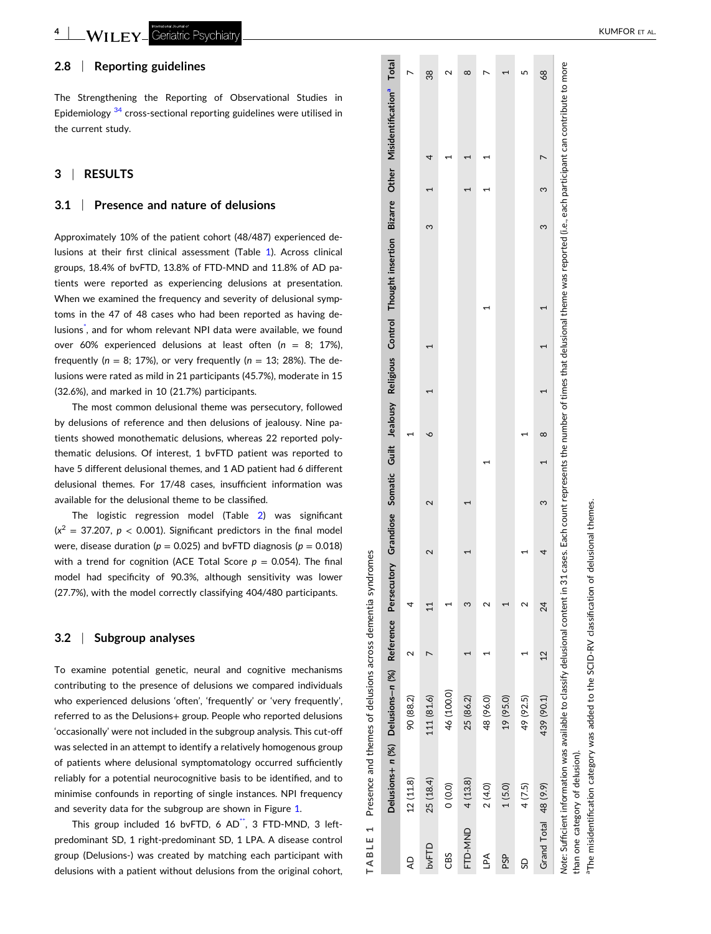$-WII$  FY<sub>-</sub> Geriatric Psychiatr

### **2.8** <sup>|</sup> **Reporting guidelines**

The Strengthening the Reporting of Observational Studies in Epidemiology <sup>[34](#page-9-0)</sup> cross-sectional reporting guidelines were utilised in the current study.

### **3** <sup>|</sup> **RESULTS**

#### **3.1** <sup>|</sup> **Presence and nature of delusions**

Approximately 10% of the patient cohort (48/487) experienced delusions at their first clinical assessment (Table 1). Across clinical groups, 18.4% of bvFTD, 13.8% of FTD ‐MND and 11.8% of AD patients were reported as experiencing delusions at presentation. When we examined the frequency and severity of delusional symptoms in the 47 of 48 cases who had been reported as having de-lusions<sup>[\\*](#page-8-0)</sup>, and for whom relevant NPI data were available, we found over 60% experienced delusions at least often ( *n* = 8; 17%), frequently ( *n* = 8; 17%), or very frequently ( *n* = 13; 28%). The delusions were rated as mild in 21 participants (45.7%), moderate in 15 (32.6%), and marked in 10 (21.7%) participants.

The most common delusional theme was persecutory, followed by delusions of reference and then delusions of jealousy. Nine patients showed monothematic delusions, whereas 22 reported polythematic delusions. Of interest, 1 bvFTD patient was reported to have 5 different delusional themes, and 1 AD patient had 6 different delusional themes. For 17/48 cases, insufficient information was available for the delusional theme to be classified.

The logistic regression model (Table [2](#page-4-0) ) was significant  $(x^2 = 37.207, p < 0.001)$ . Significant predictors in the final model were, disease duration ( *p* = 0.025) and bvFTD diagnosis ( *p* = 0.018) with a trend for cognition (ACE Total Score  $p = 0.054$ ). The final model had specificity of 90.3%, although sensitivity was lower (27.7%), with the model correctly classifying 404/480 participants.

#### **3.2** <sup>|</sup> **Subgroup analyses**

To examine potential genetic, neural and cognitive mechanisms contributing to the presence of delusions we compared individuals who experienced delusions 'often', 'frequently' or 'very frequently', referred to as the Delusions + group. People who reported delusions 'occasionally' were not included in the subgroup analysis. This cut ‐off was selected in an attempt to identify a relatively homogenous group of patients where delusional symptomatology occurred sufficiently reliably for a potential neurocognitive basis to be identified, and to minimise confounds in reporting of single instances. NPI frequency and severity data for the subgroup are shown in Figure [1](#page-4-0).

This group included 16 bvFTD, 6 AD\*, 3 FTD-MND, 3 leftpredominant SD, 1 right ‐predominant SD, 1 LPA. A disease control group (Delusions ‐ ) was created by matching each participant with delusions with a patient without delusions from the original cohort,

|                      |                                 |            |                |    |        |          |  |  |   | Delusions+ n (%) Delusions-n (%) Reference Persecutory Grandiose Somatic Guilt Jealousy Religious Control Thought insertion Bizarre Other Misidentification <sup>a</sup> Total                                     |    |
|----------------------|---------------------------------|------------|----------------|----|--------|----------|--|--|---|--------------------------------------------------------------------------------------------------------------------------------------------------------------------------------------------------------------------|----|
| ą                    | 12 (11.8)                       | 90 (88.2)  |                |    |        |          |  |  |   |                                                                                                                                                                                                                    |    |
| bvFTD                | 25 (18.4)                       | 111 (81.6) |                | ਜ਼ | $\sim$ |          |  |  |   |                                                                                                                                                                                                                    | 38 |
| CBS                  | (0.0)                           | 46 (100.0) |                |    |        |          |  |  |   |                                                                                                                                                                                                                    |    |
| FTD-MND              | 4 (13.8)                        | 25 (86.2)  |                |    |        |          |  |  |   |                                                                                                                                                                                                                    | ∞  |
| Ad∏                  | 2(4.0)                          | 48 (96.0)  |                |    |        |          |  |  |   |                                                                                                                                                                                                                    |    |
| <b>PSP</b>           | 1(5.0)                          | 19 (95.0)  |                |    |        |          |  |  |   |                                                                                                                                                                                                                    |    |
| 9                    | 4(7.5)                          | 49 (92.5)  |                |    |        |          |  |  |   |                                                                                                                                                                                                                    |    |
| Grand Total 48 (9.9) |                                 | 439 (90.1) | $\overline{c}$ | 24 | ω      | $\infty$ |  |  | 3 |                                                                                                                                                                                                                    | 89 |
|                      | than one category of delusion). |            |                |    |        |          |  |  |   | Note: Sufficient information was available to classify delusional content in 31 cases. Each count represents the number of times that delusional theme was reported (i.e., each participant can contribute to more |    |

aThe misidentification category was added to the SCID‐RV classification of delusional themes.

"The misidentification category was added to the SCID-RV classification of delusional themes

**TABLE 1** Presence and themes of delusions across dementia syndromes

 $\overline{a}$ **BLE** 

 $\overline{\mathsf{T}}$ 

Presence and themes of delusions across dementia syndromes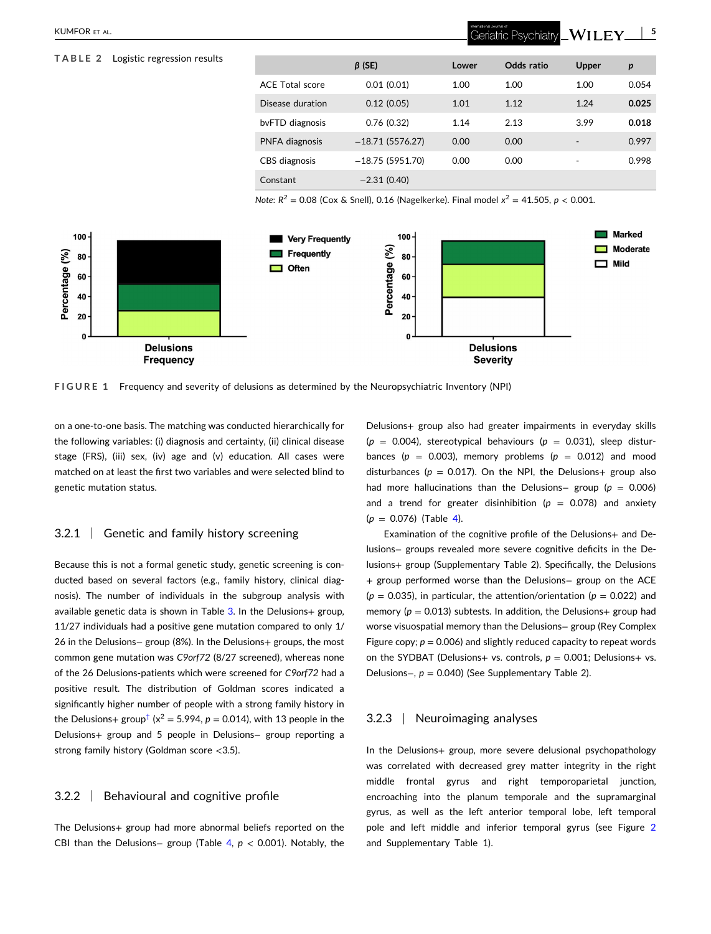### <span id="page-4-0"></span>**TABLE 2** Logistic regression results

## *β* **(SE) Lower Odds ratio Upper** *p* ACE Total score 0.01 (0.01) 1.00 1.00 1.00 0.054 Disease duration 0.12 (0.05) 1.01 1.12 1.24 **0.025** bvFTD diagnosis 0.76 (0.32) 1.14 2.13 3.99 **0.018** PNFA diagnosis −18.71 (5576.27) 0.00 0.00 · 0.997 CBS diagnosis −18.75 (5951.70) 0.00 0.00 · 0.998 Constant −2.31 (0.40)

Geriatric Psychiatry

 $WILEY \_ 5$ 

*Note*:  $R^2 = 0.08$  (Cox & Snell), 0.16 (Nagelkerke). Final model  $x^2 = 41.505$ ,  $p < 0.001$ .



**FIGURE 1** Frequency and severity of delusions as determined by the Neuropsychiatric Inventory (NPI)

on a one‐to‐one basis. The matching was conducted hierarchically for the following variables: (i) diagnosis and certainty, (ii) clinical disease stage (FRS), (iii) sex, (iv) age and (v) education. All cases were matched on at least the first two variables and were selected blind to genetic mutation status.

### 3.2.1 <sup>|</sup> Genetic and family history screening

Because this is not a formal genetic study, genetic screening is conducted based on several factors (e.g., family history, clinical diagnosis). The number of individuals in the subgroup analysis with available genetic data is shown in Table  $3$ . In the Delusions+ group, 11/27 individuals had a positive gene mutation compared to only 1/ 26 in the Delusions− group (8%). In the Delusions+ groups, the most common gene mutation was *C9orf72* (8/27 screened), whereas none of the 26 Delusions‐patients which were screened for *C9orf72* had a positive result. The distribution of Goldman scores indicated a significantly higher number of people with a strong family history in the Delusions+ group<sup>[†](#page-8-0)</sup> ( $x^2$  = 5.994, *p* = 0.014), with 13 people in the Delusions+ group and 5 people in Delusions− group reporting a strong family history (Goldman score <3.5).

### 3.2.2 <sup>|</sup> Behavioural and cognitive profile

The Delusions+ group had more abnormal beliefs reported on the CBI than the Delusions− group (Table [4](#page-5-0), *p* < 0.001). Notably, the

Delusions+ group also had greater impairments in everyday skills  $(p = 0.004)$ , stereotypical behaviours  $(p = 0.031)$ , sleep disturbances ( $p = 0.003$ ), memory problems ( $p = 0.012$ ) and mood disturbances ( $p = 0.017$ ). On the NPI, the Delusions+ group also had more hallucinations than the Delusions− group (*p* = 0.006) and a trend for greater disinhibition ( $p = 0.078$ ) and anxiety  $(p = 0.076)$  (Table [4\)](#page-5-0).

Examination of the cognitive profile of the Delusions+ and Delusions− groups revealed more severe cognitive deficits in the Delusions+ group (Supplementary Table 2). Specifically, the Delusions + group performed worse than the Delusions− group on the ACE  $(p = 0.035)$ , in particular, the attention/orientation  $(p = 0.022)$  and memory ( $p = 0.013$ ) subtests. In addition, the Delusions+ group had worse visuospatial memory than the Delusions− group (Rey Complex Figure copy;  $p = 0.006$ ) and slightly reduced capacity to repeat words on the SYDBAT (Delusions+ vs. controls,  $p = 0.001$ ; Delusions+ vs. Delusions−, *p* = 0.040) (See Supplementary Table 2).

### 3.2.3 <sup>|</sup> Neuroimaging analyses

In the Delusions+ group, more severe delusional psychopathology was correlated with decreased grey matter integrity in the right middle frontal gyrus and right temporoparietal junction, encroaching into the planum temporale and the supramarginal gyrus, as well as the left anterior temporal lobe, left temporal pole and left middle and inferior temporal gyrus (see Figure [2](#page-6-0) and Supplementary Table 1).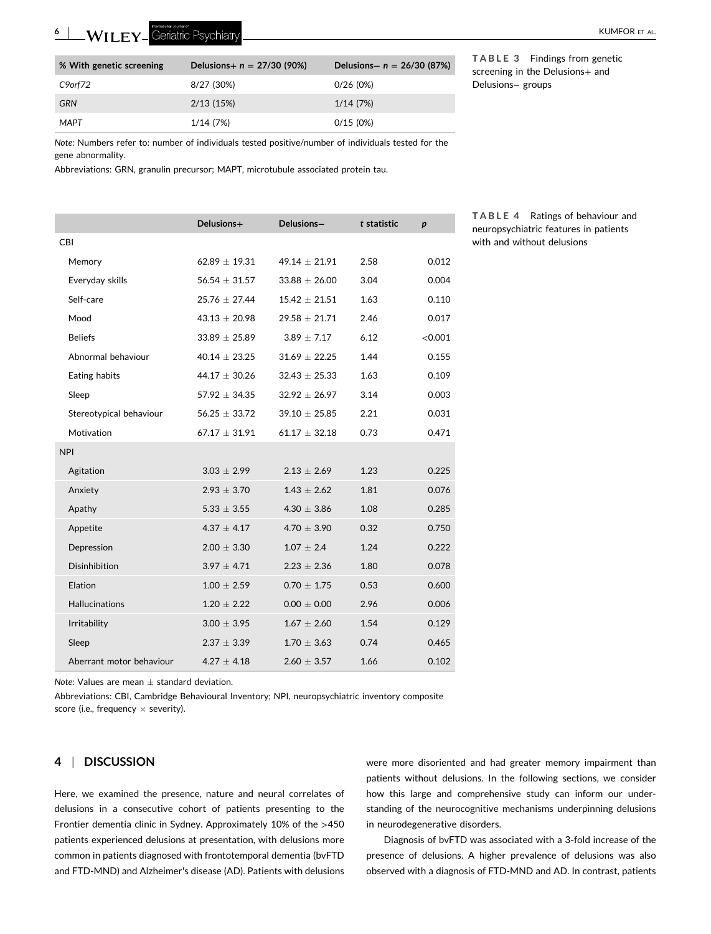<span id="page-5-0"></span>**6**

| % With genetic screening | Delusions+ $n = 27/30$ (90%) | Delusions- $n = 26/30 (87%)$ |
|--------------------------|------------------------------|------------------------------|
| C9orf72                  | 8/27 (30%)                   | 0/26(0%)                     |
| <b>GRN</b>               | 2/13(15%)                    | 1/14 (7%)                    |
| MAPT                     | 1/14 (7%)                    | 0/15(0%)                     |

**TABLE 3** Findings from genetic screening in the Delusions+ and Delusions− groups

*Note*: Numbers refer to: number of individuals tested positive/number of individuals tested for the gene abnormality.

Abbreviations: GRN, granulin precursor; MAPT, microtubule associated protein tau.

|                          | Delusions+        | Delusions-        | t statistic | $\boldsymbol{p}$ |
|--------------------------|-------------------|-------------------|-------------|------------------|
| <b>CBI</b>               |                   |                   |             |                  |
| Memory                   | $62.89 \pm 19.31$ | $49.14 \pm 21.91$ | 2.58        | 0.012            |
| Everyday skills          | $56.54 \pm 31.57$ | $33.88 \pm 26.00$ | 3.04        | 0.004            |
| Self-care                | $25.76 \pm 27.44$ | $15.42 \pm 21.51$ | 1.63        | 0.110            |
| Mood                     | $43.13 \pm 20.98$ | $29.58 \pm 21.71$ | 2.46        | 0.017            |
| <b>Beliefs</b>           | $33.89 \pm 25.89$ | $3.89 \pm 7.17$   | 6.12        | < 0.001          |
| Abnormal behaviour       | $40.14 \pm 23.25$ | $31.69 \pm 22.25$ | 1.44        | 0.155            |
| Eating habits            | $44.17 \pm 30.26$ | $32.43 \pm 25.33$ | 1.63        | 0.109            |
| Sleep                    | $57.92 \pm 34.35$ | $32.92 \pm 26.97$ | 3.14        | 0.003            |
| Stereotypical behaviour  | $56.25 \pm 33.72$ | $39.10 \pm 25.85$ | 2.21        | 0.031            |
| Motivation               | $67.17 \pm 31.91$ | $61.17 \pm 32.18$ | 0.73        | 0.471            |
| <b>NPI</b>               |                   |                   |             |                  |
| Agitation                | $3.03 \pm 2.99$   | $2.13 \pm 2.69$   | 1.23        | 0.225            |
| Anxiety                  | $2.93 \pm 3.70$   | $1.43 \pm 2.62$   | 1.81        | 0.076            |
| Apathy                   | $5.33 \pm 3.55$   | $4.30 \pm 3.86$   | 1.08        | 0.285            |
| Appetite                 | $4.37 \pm 4.17$   | $4.70 \pm 3.90$   | 0.32        | 0.750            |
| Depression               | $2.00 \pm 3.30$   | $1.07 \pm 2.4$    | 1.24        | 0.222            |
| <b>Disinhibition</b>     | $3.97 \pm 4.71$   | $2.23 \pm 2.36$   | 1.80        | 0.078            |
| Elation                  | $1.00 \pm 2.59$   | $0.70 \pm 1.75$   | 0.53        | 0.600            |
| <b>Hallucinations</b>    | $1.20 \pm 2.22$   | $0.00 \pm 0.00$   | 2.96        | 0.006            |
| Irritability             | $3.00 \pm 3.95$   | $1.67 \pm 2.60$   | 1.54        | 0.129            |
| Sleep                    | $2.37 \pm 3.39$   | $1.70 \pm 3.63$   | 0.74        | 0.465            |
| Aberrant motor behaviour | $4.27 + 4.18$     | $2.60 \pm 3.57$   | 1.66        | 0.102            |

**TABLE 4** Ratings of behaviour and neuropsychiatric features in patients with and without delusions

*Note*: Values are mean  $\pm$  standard deviation.

Abbreviations: CBI, Cambridge Behavioural Inventory; NPI, neuropsychiatric inventory composite score (i.e., frequency  $\times$  severity).

### **4** <sup>|</sup> **DISCUSSION**

Here, we examined the presence, nature and neural correlates of delusions in a consecutive cohort of patients presenting to the Frontier dementia clinic in Sydney. Approximately 10% of the >450 patients experienced delusions at presentation, with delusions more common in patients diagnosed with frontotemporal dementia (bvFTD and FTD‐MND) and Alzheimer's disease (AD). Patients with delusions were more disoriented and had greater memory impairment than patients without delusions. In the following sections, we consider how this large and comprehensive study can inform our understanding of the neurocognitive mechanisms underpinning delusions in neurodegenerative disorders.

Diagnosis of bvFTD was associated with a 3‐fold increase of the presence of delusions. A higher prevalence of delusions was also observed with a diagnosis of FTD‐MND and AD. In contrast, patients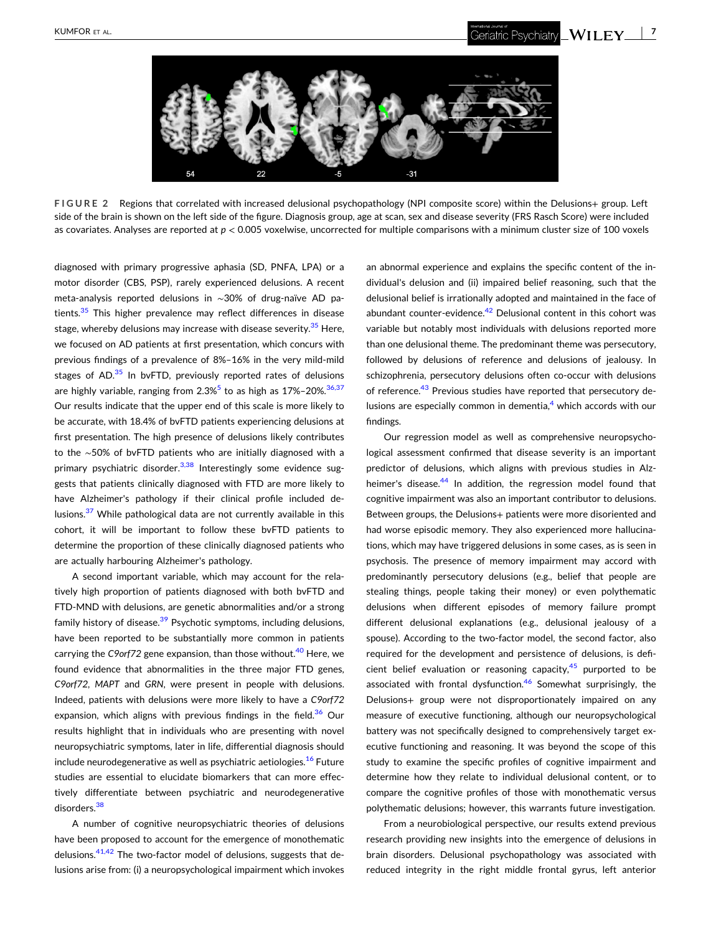<span id="page-6-0"></span>

**FIGURE 2** Regions that correlated with increased delusional psychopathology (NPI composite score) within the Delusions+ group. Left side of the brain is shown on the left side of the figure. Diagnosis group, age at scan, sex and disease severity (FRS Rasch Score) were included as covariates. Analyses are reported at *p* < 0.005 voxelwise, uncorrected for multiple comparisons with a minimum cluster size of 100 voxels

diagnosed with primary progressive aphasia (SD, PNFA, LPA) or a motor disorder (CBS, PSP), rarely experienced delusions. A recent meta‐analysis reported delusions in ∼30% of drug‐naïve AD pa-tients.<sup>[35](#page-9-0)</sup> This higher prevalence may reflect differences in disease stage, whereby delusions may increase with disease severity.<sup>35</sup> Here, we focused on AD patients at first presentation, which concurs with previous findings of a prevalence of 8%–16% in the very mild‐mild stages of  $AD<sup>35</sup>$  $AD<sup>35</sup>$  $AD<sup>35</sup>$  In bvFTD, previously reported rates of delusions are highly variable, ranging from  $2.3\%$ <sup>[5](#page-8-0)</sup> to as high as  $17\%$ -20%.<sup>[36,37](#page-9-0)</sup> Our results indicate that the upper end of this scale is more likely to be accurate, with 18.4% of bvFTD patients experiencing delusions at first presentation. The high presence of delusions likely contributes to the ∼50% of bvFTD patients who are initially diagnosed with a primary psychiatric disorder.<sup>[3,38](#page-8-0)</sup> Interestingly some evidence suggests that patients clinically diagnosed with FTD are more likely to have Alzheimer's pathology if their clinical profile included de-lusions.<sup>[37](#page-9-0)</sup> While pathological data are not currently available in this cohort, it will be important to follow these bvFTD patients to determine the proportion of these clinically diagnosed patients who are actually harbouring Alzheimer's pathology.

A second important variable, which may account for the relatively high proportion of patients diagnosed with both bvFTD and FTD‐MND with delusions, are genetic abnormalities and/or a strong family history of disease.<sup>[39](#page-9-0)</sup> Psychotic symptoms, including delusions, have been reported to be substantially more common in patients carrying the *C9orf72* gene expansion, than those without.<sup>[40](#page-9-0)</sup> Here, we found evidence that abnormalities in the three major FTD genes, *C9orf72*, *MAPT* and *GRN*, were present in people with delusions. Indeed, patients with delusions were more likely to have a *C9orf72* expansion, which aligns with previous findings in the field. $36$  Our results highlight that in individuals who are presenting with novel neuropsychiatric symptoms, later in life, differential diagnosis should include neurodegenerative as well as psychiatric aetiologies.<sup>[16](#page-8-0)</sup> Future studies are essential to elucidate biomarkers that can more effectively differentiate between psychiatric and neurodegenerative disorders.<sup>38</sup>

A number of cognitive neuropsychiatric theories of delusions have been proposed to account for the emergence of monothematic delusions.<sup>[41,42](#page-9-0)</sup> The two-factor model of delusions, suggests that delusions arise from: (i) a neuropsychological impairment which invokes

an abnormal experience and explains the specific content of the individual's delusion and (ii) impaired belief reasoning, such that the delusional belief is irrationally adopted and maintained in the face of abundant counter-evidence.<sup>42</sup> Delusional content in this cohort was variable but notably most individuals with delusions reported more than one delusional theme. The predominant theme was persecutory, followed by delusions of reference and delusions of jealousy. In schizophrenia, persecutory delusions often co-occur with delusions of reference.<sup>43</sup> Previous studies have reported that persecutory delusions are especially common in dementia, $4$  which accords with our findings.

Our regression model as well as comprehensive neuropsychological assessment confirmed that disease severity is an important predictor of delusions, which aligns with previous studies in Alz-heimer's disease.<sup>[44](#page-9-0)</sup> In addition, the regression model found that cognitive impairment was also an important contributor to delusions. Between groups, the Delusions+ patients were more disoriented and had worse episodic memory. They also experienced more hallucinations, which may have triggered delusions in some cases, as is seen in psychosis. The presence of memory impairment may accord with predominantly persecutory delusions (e.g., belief that people are stealing things, people taking their money) or even polythematic delusions when different episodes of memory failure prompt different delusional explanations (e.g., delusional jealousy of a spouse). According to the two-factor model, the second factor, also required for the development and persistence of delusions, is deficient belief evaluation or reasoning capacity, $45$  purported to be associated with frontal dysfunction.<sup>[46](#page-9-0)</sup> Somewhat surprisingly, the Delusions+ group were not disproportionately impaired on any measure of executive functioning, although our neuropsychological battery was not specifically designed to comprehensively target executive functioning and reasoning. It was beyond the scope of this study to examine the specific profiles of cognitive impairment and determine how they relate to individual delusional content, or to compare the cognitive profiles of those with monothematic versus polythematic delusions; however, this warrants future investigation.

From a neurobiological perspective, our results extend previous research providing new insights into the emergence of delusions in brain disorders. Delusional psychopathology was associated with reduced integrity in the right middle frontal gyrus, left anterior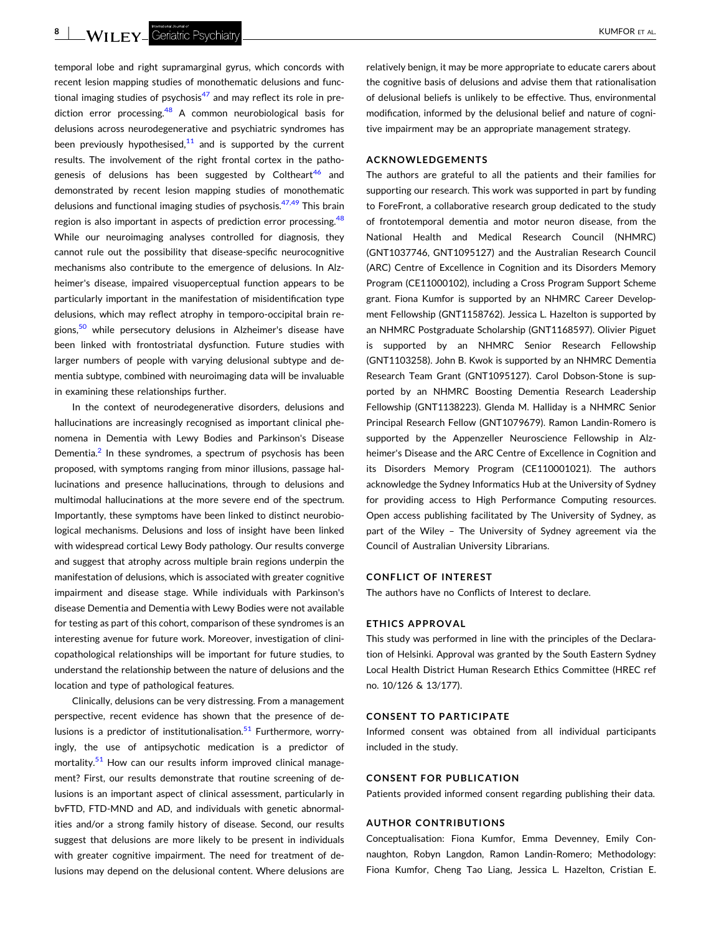**8** | WILFY Geriatric Psychiatry **All and Structure Control** Experiment and the structure of the structure of the structure of the structure of the structure of the structure of the structure of the structure of the struct

temporal lobe and right supramarginal gyrus, which concords with recent lesion mapping studies of monothematic delusions and functional imaging studies of psychosis $47$  and may reflect its role in prediction error processing.  $48$  A common neurobiological basis for delusions across neurodegenerative and psychiatric syndromes has been previously hypothesised, $11$  and is supported by the current results. The involvement of the right frontal cortex in the pathogenesis of delusions has been suggested by Coltheart<sup>46</sup> and demonstrated by recent lesion mapping studies of monothematic delusions and functional imaging studies of psychosis.<sup>[47,49](#page-9-0)</sup> This brain region is also important in aspects of prediction error processing.<sup>48</sup> While our neuroimaging analyses controlled for diagnosis, they cannot rule out the possibility that disease‐specific neurocognitive mechanisms also contribute to the emergence of delusions. In Alzheimer's disease, impaired visuoperceptual function appears to be particularly important in the manifestation of misidentification type delusions, which may reflect atrophy in temporo‐occipital brain regions, $50$  while persecutory delusions in Alzheimer's disease have been linked with frontostriatal dysfunction. Future studies with larger numbers of people with varying delusional subtype and dementia subtype, combined with neuroimaging data will be invaluable in examining these relationships further.

In the context of neurodegenerative disorders, delusions and hallucinations are increasingly recognised as important clinical phenomena in Dementia with Lewy Bodies and Parkinson's Disease Dementia. $<sup>2</sup>$  $<sup>2</sup>$  $<sup>2</sup>$  In these syndromes, a spectrum of psychosis has been</sup> proposed, with symptoms ranging from minor illusions, passage hallucinations and presence hallucinations, through to delusions and multimodal hallucinations at the more severe end of the spectrum. Importantly, these symptoms have been linked to distinct neurobiological mechanisms. Delusions and loss of insight have been linked with widespread cortical Lewy Body pathology. Our results converge and suggest that atrophy across multiple brain regions underpin the manifestation of delusions, which is associated with greater cognitive impairment and disease stage. While individuals with Parkinson's disease Dementia and Dementia with Lewy Bodies were not available for testing as part of this cohort, comparison of these syndromes is an interesting avenue for future work. Moreover, investigation of clinicopathological relationships will be important for future studies, to understand the relationship between the nature of delusions and the location and type of pathological features.

Clinically, delusions can be very distressing. From a management perspective, recent evidence has shown that the presence of delusions is a predictor of institutionalisation. $51$  Furthermore, worryingly, the use of antipsychotic medication is a predictor of mortality.<sup>[51](#page-9-0)</sup> How can our results inform improved clinical management? First, our results demonstrate that routine screening of delusions is an important aspect of clinical assessment, particularly in bvFTD, FTD‐MND and AD, and individuals with genetic abnormalities and/or a strong family history of disease. Second, our results suggest that delusions are more likely to be present in individuals with greater cognitive impairment. The need for treatment of delusions may depend on the delusional content. Where delusions are relatively benign, it may be more appropriate to educate carers about the cognitive basis of delusions and advise them that rationalisation of delusional beliefs is unlikely to be effective. Thus, environmental modification, informed by the delusional belief and nature of cognitive impairment may be an appropriate management strategy.

### **ACKNOWLEDGEMENTS**

The authors are grateful to all the patients and their families for supporting our research. This work was supported in part by funding to ForeFront, a collaborative research group dedicated to the study of frontotemporal dementia and motor neuron disease, from the National Health and Medical Research Council (NHMRC) (GNT1037746, GNT1095127) and the Australian Research Council (ARC) Centre of Excellence in Cognition and its Disorders Memory Program (CE11000102), including a Cross Program Support Scheme grant. Fiona Kumfor is supported by an NHMRC Career Development Fellowship (GNT1158762). Jessica L. Hazelton is supported by an NHMRC Postgraduate Scholarship (GNT1168597). Olivier Piguet is supported by an NHMRC Senior Research Fellowship (GNT1103258). John B. Kwok is supported by an NHMRC Dementia Research Team Grant (GNT1095127). Carol Dobson‐Stone is supported by an NHMRC Boosting Dementia Research Leadership Fellowship (GNT1138223). Glenda M. Halliday is a NHMRC Senior Principal Research Fellow (GNT1079679). Ramon Landin‐Romero is supported by the Appenzeller Neuroscience Fellowship in Alzheimer's Disease and the ARC Centre of Excellence in Cognition and its Disorders Memory Program (CE110001021). The authors acknowledge the Sydney Informatics Hub at the University of Sydney for providing access to High Performance Computing resources. Open access publishing facilitated by The University of Sydney, as part of the Wiley – The University of Sydney agreement via the Council of Australian University Librarians.

### **CONFLICT OF INTEREST**

The authors have no Conflicts of Interest to declare.

### **ETHICS APPROVAL**

This study was performed in line with the principles of the Declaration of Helsinki. Approval was granted by the South Eastern Sydney Local Health District Human Research Ethics Committee (HREC ref no. 10/126 & 13/177).

### **CONSENT TO PARTICIPATE**

Informed consent was obtained from all individual participants included in the study.

### **CONSENT FOR PUBLICATION**

Patients provided informed consent regarding publishing their data.

### **AUTHOR CONTRIBUTIONS**

Conceptualisation: Fiona Kumfor, Emma Devenney, Emily Connaughton, Robyn Langdon, Ramon Landin‐Romero; Methodology: Fiona Kumfor, Cheng Tao Liang, Jessica L. Hazelton, Cristian E.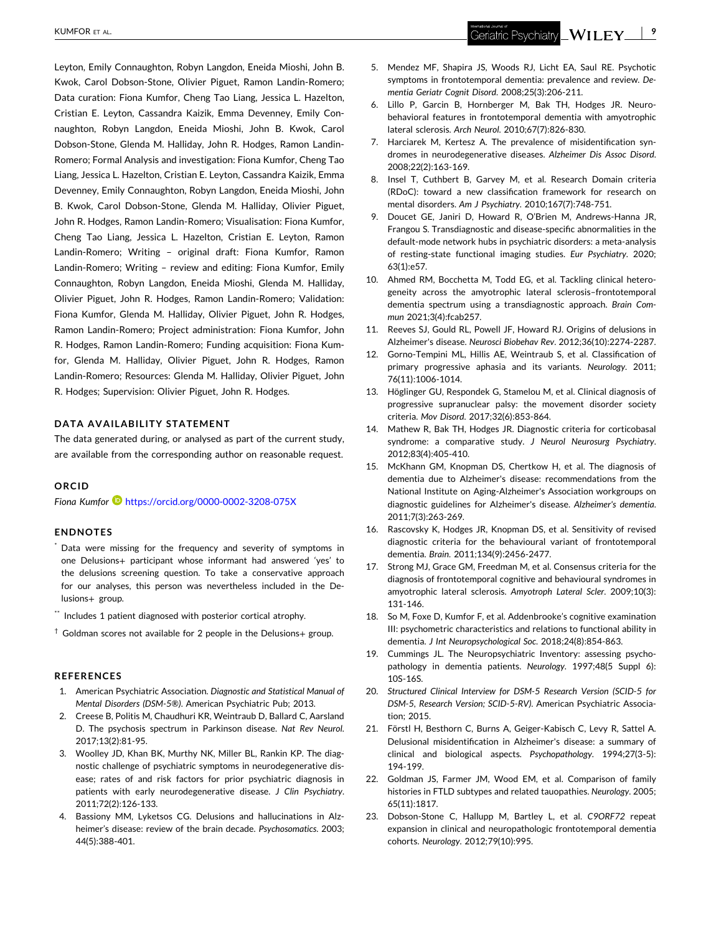<span id="page-8-0"></span>Leyton, Emily Connaughton, Robyn Langdon, Eneida Mioshi, John B. Kwok, Carol Dobson‐Stone, Olivier Piguet, Ramon Landin‐Romero; Data curation: Fiona Kumfor, Cheng Tao Liang, Jessica L. Hazelton, Cristian E. Leyton, Cassandra Kaizik, Emma Devenney, Emily Connaughton, Robyn Langdon, Eneida Mioshi, John B. Kwok, Carol Dobson‐Stone, Glenda M. Halliday, John R. Hodges, Ramon Landin‐ Romero; Formal Analysis and investigation: Fiona Kumfor, Cheng Tao Liang, Jessica L. Hazelton, Cristian E. Leyton, Cassandra Kaizik, Emma Devenney, Emily Connaughton, Robyn Langdon, Eneida Mioshi, John B. Kwok, Carol Dobson‐Stone, Glenda M. Halliday, Olivier Piguet, John R. Hodges, Ramon Landin‐Romero; Visualisation: Fiona Kumfor, Cheng Tao Liang, Jessica L. Hazelton, Cristian E. Leyton, Ramon Landin‐Romero; Writing – original draft: Fiona Kumfor, Ramon Landin‐Romero; Writing – review and editing: Fiona Kumfor, Emily Connaughton, Robyn Langdon, Eneida Mioshi, Glenda M. Halliday, Olivier Piguet, John R. Hodges, Ramon Landin‐Romero; Validation: Fiona Kumfor, Glenda M. Halliday, Olivier Piguet, John R. Hodges, Ramon Landin‐Romero; Project administration: Fiona Kumfor, John R. Hodges, Ramon Landin‐Romero; Funding acquisition: Fiona Kumfor, Glenda M. Halliday, Olivier Piguet, John R. Hodges, Ramon Landin‐Romero; Resources: Glenda M. Halliday, Olivier Piguet, John R. Hodges; Supervision: Olivier Piguet, John R. Hodges.

### **DATA AVAILABILITY STATEMENT**

The data generated during, or analysed as part of the current study, are available from the corresponding author on reasonable request.

### **ORCID**

*Fiona Kumfor* <https://orcid.org/0000-0002-3208-075X>

### **ENDNOTES**

Data were missing for the frequency and severity of symptoms in one Delusions+ participant whose informant had answered 'yes' to the delusions screening question. To take a conservative approach for our analyses, this person was nevertheless included in the Delusions+ group.

- \*\* Includes 1 patient diagnosed with posterior cortical atrophy.
- $\dagger$  Goldman scores not available for 2 people in the Delusions+ group.

### **REFERENCES**

- 1. American Psychiatric Association. *Diagnostic and Statistical Manual of Mental Disorders (DSM‐5®)*. American Psychiatric Pub; 2013.
- 2. Creese B, Politis M, Chaudhuri KR, Weintraub D, Ballard C, Aarsland D. The psychosis spectrum in Parkinson disease. *Nat Rev Neurol*. 2017;13(2):81‐95.
- 3. Woolley JD, Khan BK, Murthy NK, Miller BL, Rankin KP. The diagnostic challenge of psychiatric symptoms in neurodegenerative disease; rates of and risk factors for prior psychiatric diagnosis in patients with early neurodegenerative disease. *J Clin Psychiatry*. 2011;72(2):126‐133.
- 4. Bassiony MM, Lyketsos CG. Delusions and hallucinations in Alzheimer's disease: review of the brain decade. *Psychosomatics*. 2003; 44(5):388‐401.
- 5. Mendez MF, Shapira JS, Woods RJ, Licht EA, Saul RE. Psychotic symptoms in frontotemporal dementia: prevalence and review. *Dementia Geriatr Cognit Disord*. 2008;25(3):206‐211.
- 6. Lillo P, Garcin B, Hornberger M, Bak TH, Hodges JR. Neurobehavioral features in frontotemporal dementia with amyotrophic lateral sclerosis. *Arch Neurol*. 2010;67(7):826‐830.
- 7. Harciarek M, Kertesz A. The prevalence of misidentification syndromes in neurodegenerative diseases. *Alzheimer Dis Assoc Disord*. 2008;22(2):163‐169.
- 8. Insel T, Cuthbert B, Garvey M, et al. Research Domain criteria (RDoC): toward a new classification framework for research on mental disorders. *Am J Psychiatry*. 2010;167(7):748‐751.
- 9. Doucet GE, Janiri D, Howard R, O'Brien M, Andrews‐Hanna JR, Frangou S. Transdiagnostic and disease‐specific abnormalities in the default‐mode network hubs in psychiatric disorders: a meta‐analysis of resting‐state functional imaging studies. *Eur Psychiatry*. 2020; 63(1):e57.
- 10. Ahmed RM, Bocchetta M, Todd EG, et al. Tackling clinical heterogeneity across the amyotrophic lateral sclerosis–frontotemporal dementia spectrum using a transdiagnostic approach. *Brain Commun* 2021;3(4):fcab257.
- 11. Reeves SJ, Gould RL, Powell JF, Howard RJ. Origins of delusions in Alzheimer's disease. *Neurosci Biobehav Rev*. 2012;36(10):2274‐2287.
- 12. Gorno‐Tempini ML, Hillis AE, Weintraub S, et al. Classification of primary progressive aphasia and its variants. *Neurology*. 2011; 76(11):1006‐1014.
- 13. Höglinger GU, Respondek G, Stamelou M, et al. Clinical diagnosis of progressive supranuclear palsy: the movement disorder society criteria. *Mov Disord*. 2017;32(6):853‐864.
- 14. Mathew R, Bak TH, Hodges JR. Diagnostic criteria for corticobasal syndrome: a comparative study. *J Neurol Neurosurg Psychiatry*. 2012;83(4):405‐410.
- 15. McKhann GM, Knopman DS, Chertkow H, et al. The diagnosis of dementia due to Alzheimer's disease: recommendations from the National Institute on Aging‐Alzheimer's Association workgroups on diagnostic guidelines for Alzheimer's disease. *Alzheimer's dementia*. 2011;7(3):263‐269.
- 16. Rascovsky K, Hodges JR, Knopman DS, et al. Sensitivity of revised diagnostic criteria for the behavioural variant of frontotemporal dementia. *Brain*. 2011;134(9):2456‐2477.
- 17. Strong MJ, Grace GM, Freedman M, et al. Consensus criteria for the diagnosis of frontotemporal cognitive and behavioural syndromes in amyotrophic lateral sclerosis. *Amyotroph Lateral Scler*. 2009;10(3): 131‐146.
- 18. So M, Foxe D, Kumfor F, et al. Addenbrooke's cognitive examination III: psychometric characteristics and relations to functional ability in dementia. *J Int Neuropsychological Soc*. 2018;24(8):854‐863.
- 19. Cummings JL. The Neuropsychiatric Inventory: assessing psychopathology in dementia patients. *Neurology*. 1997;48(5 Suppl 6): 10S‐16S.
- 20. *Structured Clinical Interview for DSM‐5 Research Version (SCID‐5 for DSM‐5, Research Version; SCID‐5‐RV)*. American Psychiatric Association; 2015.
- 21. Förstl H, Besthorn C, Burns A, Geiger‐Kabisch C, Levy R, Sattel A. Delusional misidentification in Alzheimer's disease: a summary of clinical and biological aspects. *Psychopathology*. 1994;27(3‐5): 194‐199.
- 22. Goldman JS, Farmer JM, Wood EM, et al. Comparison of family histories in FTLD subtypes and related tauopathies. *Neurology*. 2005; 65(11):1817.
- 23. Dobson‐Stone C, Hallupp M, Bartley L, et al. *C9ORF72* repeat expansion in clinical and neuropathologic frontotemporal dementia cohorts. *Neurology*. 2012;79(10):995.